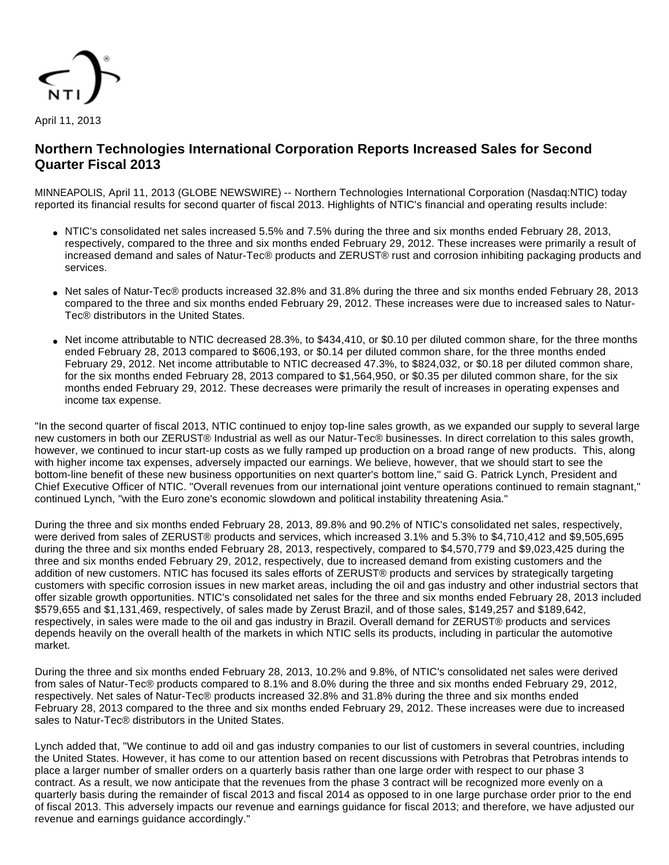

**Northern Technologies International Corporation Reports Increased Sales for Second Quarter Fiscal 2013**

MINNEAPOLIS, April 11, 2013 (GLOBE NEWSWIRE) -- Northern Technologies International Corporation (Nasdaq:NTIC) today reported its financial results for second quarter of fiscal 2013. Highlights of NTIC's financial and operating results include:

- NTIC's consolidated net sales increased 5.5% and 7.5% during the three and six months ended February 28, 2013, respectively, compared to the three and six months ended February 29, 2012. These increases were primarily a result of increased demand and sales of Natur-Tec® products and ZERUST® rust and corrosion inhibiting packaging products and services.
- Net sales of Natur-Tec® products increased 32.8% and 31.8% during the three and six months ended February 28, 2013 compared to the three and six months ended February 29, 2012. These increases were due to increased sales to Natur-Tec® distributors in the United States.
- Net income attributable to NTIC decreased 28.3%, to \$434,410, or \$0.10 per diluted common share, for the three months ended February 28, 2013 compared to \$606,193, or \$0.14 per diluted common share, for the three months ended February 29, 2012. Net income attributable to NTIC decreased 47.3%, to \$824,032, or \$0.18 per diluted common share, for the six months ended February 28, 2013 compared to \$1,564,950, or \$0.35 per diluted common share, for the six months ended February 29, 2012. These decreases were primarily the result of increases in operating expenses and income tax expense.

"In the second quarter of fiscal 2013, NTIC continued to enjoy top-line sales growth, as we expanded our supply to several large new customers in both our ZERUST® Industrial as well as our Natur-Tec® businesses. In direct correlation to this sales growth, however, we continued to incur start-up costs as we fully ramped up production on a broad range of new products. This, along with higher income tax expenses, adversely impacted our earnings. We believe, however, that we should start to see the bottom-line benefit of these new business opportunities on next quarter's bottom line," said G. Patrick Lynch, President and Chief Executive Officer of NTIC. "Overall revenues from our international joint venture operations continued to remain stagnant," continued Lynch, "with the Euro zone's economic slowdown and political instability threatening Asia."

During the three and six months ended February 28, 2013, 89.8% and 90.2% of NTIC's consolidated net sales, respectively, were derived from sales of ZERUST® products and services, which increased 3.1% and 5.3% to \$4,710,412 and \$9,505,695 during the three and six months ended February 28, 2013, respectively, compared to \$4,570,779 and \$9,023,425 during the three and six months ended February 29, 2012, respectively, due to increased demand from existing customers and the addition of new customers. NTIC has focused its sales efforts of ZERUST® products and services by strategically targeting customers with specific corrosion issues in new market areas, including the oil and gas industry and other industrial sectors that offer sizable growth opportunities. NTIC's consolidated net sales for the three and six months ended February 28, 2013 included \$579,655 and \$1,131,469, respectively, of sales made by Zerust Brazil, and of those sales, \$149,257 and \$189,642, respectively, in sales were made to the oil and gas industry in Brazil. Overall demand for ZERUST® products and services depends heavily on the overall health of the markets in which NTIC sells its products, including in particular the automotive market.

During the three and six months ended February 28, 2013, 10.2% and 9.8%, of NTIC's consolidated net sales were derived from sales of Natur-Tec® products compared to 8.1% and 8.0% during the three and six months ended February 29, 2012, respectively. Net sales of Natur-Tec® products increased 32.8% and 31.8% during the three and six months ended February 28, 2013 compared to the three and six months ended February 29, 2012. These increases were due to increased sales to Natur-Tec® distributors in the United States.

Lynch added that, "We continue to add oil and gas industry companies to our list of customers in several countries, including the United States. However, it has come to our attention based on recent discussions with Petrobras that Petrobras intends to place a larger number of smaller orders on a quarterly basis rather than one large order with respect to our phase 3 contract. As a result, we now anticipate that the revenues from the phase 3 contract will be recognized more evenly on a quarterly basis during the remainder of fiscal 2013 and fiscal 2014 as opposed to in one large purchase order prior to the end of fiscal 2013. This adversely impacts our revenue and earnings guidance for fiscal 2013; and therefore, we have adjusted our revenue and earnings guidance accordingly."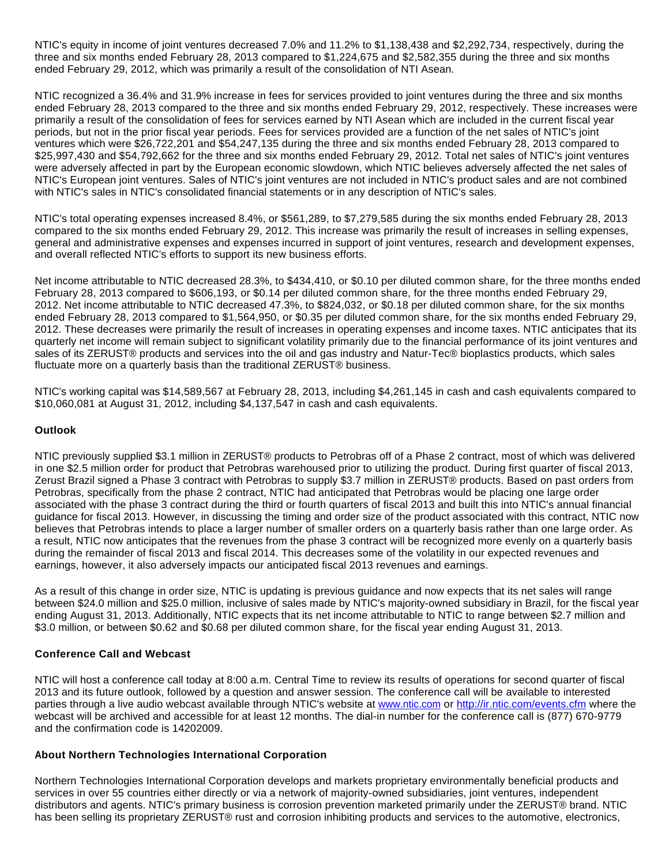NTIC's equity in income of joint ventures decreased 7.0% and 11.2% to \$1,138,438 and \$2,292,734, respectively, during the three and six months ended February 28, 2013 compared to \$1,224,675 and \$2,582,355 during the three and six months ended February 29, 2012, which was primarily a result of the consolidation of NTI Asean.

NTIC recognized a 36.4% and 31.9% increase in fees for services provided to joint ventures during the three and six months ended February 28, 2013 compared to the three and six months ended February 29, 2012, respectively. These increases were primarily a result of the consolidation of fees for services earned by NTI Asean which are included in the current fiscal year periods, but not in the prior fiscal year periods. Fees for services provided are a function of the net sales of NTIC's joint ventures which were \$26,722,201 and \$54,247,135 during the three and six months ended February 28, 2013 compared to \$25,997,430 and \$54,792,662 for the three and six months ended February 29, 2012. Total net sales of NTIC's joint ventures were adversely affected in part by the European economic slowdown, which NTIC believes adversely affected the net sales of NTIC's European joint ventures. Sales of NTIC's joint ventures are not included in NTIC's product sales and are not combined with NTIC's sales in NTIC's consolidated financial statements or in any description of NTIC's sales.

NTIC's total operating expenses increased 8.4%, or \$561,289, to \$7,279,585 during the six months ended February 28, 2013 compared to the six months ended February 29, 2012. This increase was primarily the result of increases in selling expenses, general and administrative expenses and expenses incurred in support of joint ventures, research and development expenses, and overall reflected NTIC's efforts to support its new business efforts.

Net income attributable to NTIC decreased 28.3%, to \$434,410, or \$0.10 per diluted common share, for the three months ended February 28, 2013 compared to \$606,193, or \$0.14 per diluted common share, for the three months ended February 29, 2012. Net income attributable to NTIC decreased 47.3%, to \$824,032, or \$0.18 per diluted common share, for the six months ended February 28, 2013 compared to \$1,564,950, or \$0.35 per diluted common share, for the six months ended February 29, 2012. These decreases were primarily the result of increases in operating expenses and income taxes. NTIC anticipates that its quarterly net income will remain subject to significant volatility primarily due to the financial performance of its joint ventures and sales of its ZERUST® products and services into the oil and gas industry and Natur-Tec® bioplastics products, which sales fluctuate more on a quarterly basis than the traditional ZERUST® business.

NTIC's working capital was \$14,589,567 at February 28, 2013, including \$4,261,145 in cash and cash equivalents compared to \$10,060,081 at August 31, 2012, including \$4,137,547 in cash and cash equivalents.

## **Outlook**

NTIC previously supplied \$3.1 million in ZERUST® products to Petrobras off of a Phase 2 contract, most of which was delivered in one \$2.5 million order for product that Petrobras warehoused prior to utilizing the product. During first quarter of fiscal 2013, Zerust Brazil signed a Phase 3 contract with Petrobras to supply \$3.7 million in ZERUST® products. Based on past orders from Petrobras, specifically from the phase 2 contract, NTIC had anticipated that Petrobras would be placing one large order associated with the phase 3 contract during the third or fourth quarters of fiscal 2013 and built this into NTIC's annual financial guidance for fiscal 2013. However, in discussing the timing and order size of the product associated with this contract, NTIC now believes that Petrobras intends to place a larger number of smaller orders on a quarterly basis rather than one large order. As a result, NTIC now anticipates that the revenues from the phase 3 contract will be recognized more evenly on a quarterly basis during the remainder of fiscal 2013 and fiscal 2014. This decreases some of the volatility in our expected revenues and earnings, however, it also adversely impacts our anticipated fiscal 2013 revenues and earnings.

As a result of this change in order size, NTIC is updating is previous guidance and now expects that its net sales will range between \$24.0 million and \$25.0 million, inclusive of sales made by NTIC's majority-owned subsidiary in Brazil, for the fiscal year ending August 31, 2013. Additionally, NTIC expects that its net income attributable to NTIC to range between \$2.7 million and \$3.0 million, or between \$0.62 and \$0.68 per diluted common share, for the fiscal year ending August 31, 2013.

## **Conference Call and Webcast**

NTIC will host a conference call today at 8:00 a.m. Central Time to review its results of operations for second quarter of fiscal 2013 and its future outlook, followed by a question and answer session. The conference call will be available to interested parties through a live audio webcast available through NTIC's website at [www.ntic.com](http://www.globenewswire.com/newsroom/ctr?d=10028080&l=15&a=www.ntic.com&u=http%3A%2F%2Fwww.ntic.com) or [http://ir.ntic.com/events.cfm](http://www.globenewswire.com/newsroom/ctr?d=10028080&l=15&u=http%3A%2F%2Fir.ntic.com%2Fevents.cfm) where the webcast will be archived and accessible for at least 12 months. The dial-in number for the conference call is (877) 670-9779 and the confirmation code is 14202009.

## **About Northern Technologies International Corporation**

Northern Technologies International Corporation develops and markets proprietary environmentally beneficial products and services in over 55 countries either directly or via a network of majority-owned subsidiaries, joint ventures, independent distributors and agents. NTIC's primary business is corrosion prevention marketed primarily under the ZERUST® brand. NTIC has been selling its proprietary ZERUST® rust and corrosion inhibiting products and services to the automotive, electronics,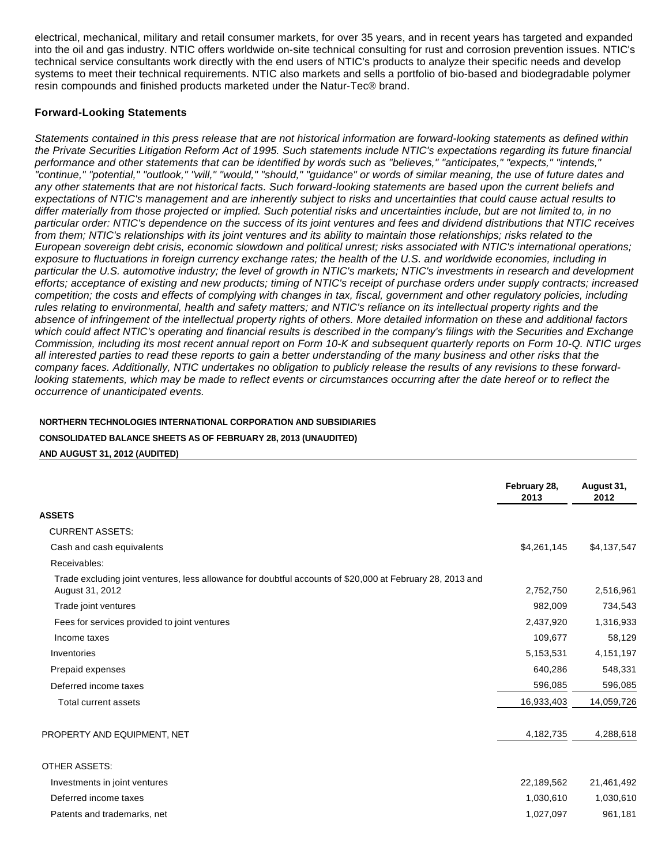electrical, mechanical, military and retail consumer markets, for over 35 years, and in recent years has targeted and expanded into the oil and gas industry. NTIC offers worldwide on-site technical consulting for rust and corrosion prevention issues. NTIC's technical service consultants work directly with the end users of NTIC's products to analyze their specific needs and develop systems to meet their technical requirements. NTIC also markets and sells a portfolio of bio-based and biodegradable polymer resin compounds and finished products marketed under the Natur-Tec® brand.

### **Forward-Looking Statements**

Statements contained in this press release that are not historical information are forward-looking statements as defined within the Private Securities Litigation Reform Act of 1995. Such statements include NTIC's expectations regarding its future financial performance and other statements that can be identified by words such as "believes," "anticipates," "expects," "intends," "continue," "potential," "outlook," "will," "would," "should," "guidance" or words of similar meaning, the use of future dates and any other statements that are not historical facts. Such forward-looking statements are based upon the current beliefs and expectations of NTIC's management and are inherently subject to risks and uncertainties that could cause actual results to differ materially from those projected or implied. Such potential risks and uncertainties include, but are not limited to, in no particular order: NTIC's dependence on the success of its joint ventures and fees and dividend distributions that NTIC receives from them; NTIC's relationships with its joint ventures and its ability to maintain those relationships; risks related to the European sovereign debt crisis, economic slowdown and political unrest; risks associated with NTIC's international operations; exposure to fluctuations in foreign currency exchange rates; the health of the U.S. and worldwide economies, including in particular the U.S. automotive industry; the level of growth in NTIC's markets; NTIC's investments in research and development efforts; acceptance of existing and new products; timing of NTIC's receipt of purchase orders under supply contracts; increased competition; the costs and effects of complying with changes in tax, fiscal, government and other regulatory policies, including rules relating to environmental, health and safety matters; and NTIC's reliance on its intellectual property rights and the absence of infringement of the intellectual property rights of others. More detailed information on these and additional factors which could affect NTIC's operating and financial results is described in the company's filings with the Securities and Exchange Commission, including its most recent annual report on Form 10-K and subsequent quarterly reports on Form 10-Q. NTIC urges all interested parties to read these reports to gain a better understanding of the many business and other risks that the company faces. Additionally, NTIC undertakes no obligation to publicly release the results of any revisions to these forwardlooking statements, which may be made to reflect events or circumstances occurring after the date hereof or to reflect the occurrence of unanticipated events.

#### **NORTHERN TECHNOLOGIES INTERNATIONAL CORPORATION AND SUBSIDIARIES**

#### **CONSOLIDATED BALANCE SHEETS AS OF FEBRUARY 28, 2013 (UNAUDITED)**

#### **AND AUGUST 31, 2012 (AUDITED)**

|                                                                                                                              | February 28,<br>2013 | August 31,<br>2012 |
|------------------------------------------------------------------------------------------------------------------------------|----------------------|--------------------|
| <b>ASSETS</b>                                                                                                                |                      |                    |
| <b>CURRENT ASSETS:</b>                                                                                                       |                      |                    |
| Cash and cash equivalents                                                                                                    | \$4,261,145          | \$4,137,547        |
| Receivables:                                                                                                                 |                      |                    |
| Trade excluding joint ventures, less allowance for doubtful accounts of \$20,000 at February 28, 2013 and<br>August 31, 2012 | 2,752,750            | 2,516,961          |
| Trade joint ventures                                                                                                         | 982,009              | 734,543            |
| Fees for services provided to joint ventures                                                                                 | 2,437,920            | 1,316,933          |
| Income taxes                                                                                                                 | 109,677              | 58,129             |
| Inventories                                                                                                                  | 5,153,531            | 4,151,197          |
| Prepaid expenses                                                                                                             | 640,286              | 548,331            |
| Deferred income taxes                                                                                                        | 596,085              | 596,085            |
| <b>Total current assets</b>                                                                                                  | 16,933,403           | 14,059,726         |
| PROPERTY AND EQUIPMENT, NET                                                                                                  | 4,182,735            | 4,288,618          |
| <b>OTHER ASSETS:</b>                                                                                                         |                      |                    |
| Investments in joint ventures                                                                                                | 22,189,562           | 21,461,492         |
| Deferred income taxes                                                                                                        | 1,030,610            | 1,030,610          |
| Patents and trademarks, net                                                                                                  | 1,027,097            | 961,181            |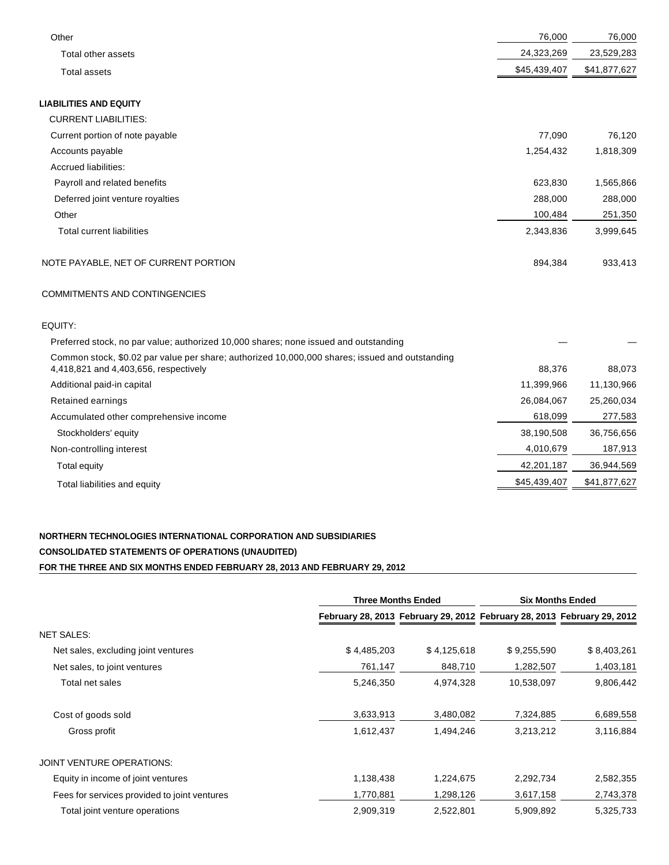| Other                                                                                                                                   | 76,000       | 76,000       |
|-----------------------------------------------------------------------------------------------------------------------------------------|--------------|--------------|
| Total other assets                                                                                                                      | 24,323,269   | 23,529,283   |
| <b>Total assets</b>                                                                                                                     | \$45,439,407 | \$41,877,627 |
| <b>LIABILITIES AND EQUITY</b>                                                                                                           |              |              |
| <b>CURRENT LIABILITIES:</b>                                                                                                             |              |              |
| Current portion of note payable                                                                                                         | 77,090       | 76,120       |
| Accounts payable                                                                                                                        | 1,254,432    | 1,818,309    |
| <b>Accrued liabilities:</b>                                                                                                             |              |              |
| Payroll and related benefits                                                                                                            | 623,830      | 1,565,866    |
| Deferred joint venture royalties                                                                                                        | 288,000      | 288,000      |
| Other                                                                                                                                   | 100,484      | 251,350      |
| <b>Total current liabilities</b>                                                                                                        | 2,343,836    | 3,999,645    |
| NOTE PAYABLE, NET OF CURRENT PORTION                                                                                                    | 894,384      | 933,413      |
| <b>COMMITMENTS AND CONTINGENCIES</b>                                                                                                    |              |              |
| EQUITY:                                                                                                                                 |              |              |
| Preferred stock, no par value; authorized 10,000 shares; none issued and outstanding                                                    |              |              |
| Common stock, \$0.02 par value per share; authorized 10,000,000 shares; issued and outstanding<br>4,418,821 and 4,403,656, respectively | 88,376       | 88,073       |
| Additional paid-in capital                                                                                                              | 11,399,966   | 11,130,966   |
| Retained earnings                                                                                                                       | 26,084,067   | 25,260,034   |
| Accumulated other comprehensive income                                                                                                  | 618,099      | 277,583      |
| Stockholders' equity                                                                                                                    | 38,190,508   | 36,756,656   |
| Non-controlling interest                                                                                                                | 4,010,679    | 187,913      |

Total equity 36,944,569 36,944,569

Total liabilities and equity **\$45,439,407** \$41,877,627

# **NORTHERN TECHNOLOGIES INTERNATIONAL CORPORATION AND SUBSIDIARIES CONSOLIDATED STATEMENTS OF OPERATIONS (UNAUDITED) FOR THE THREE AND SIX MONTHS ENDED FEBRUARY 28, 2013 AND FEBRUARY 29, 2012**

|                                              |             | <b>Three Months Ended</b> |                                                                         | <b>Six Months Ended</b> |  |  |
|----------------------------------------------|-------------|---------------------------|-------------------------------------------------------------------------|-------------------------|--|--|
|                                              |             |                           | February 28, 2013 February 29, 2012 February 28, 2013 February 29, 2012 |                         |  |  |
| <b>NET SALES:</b>                            |             |                           |                                                                         |                         |  |  |
| Net sales, excluding joint ventures          | \$4,485,203 | \$4,125,618               | \$9,255,590                                                             | \$8,403,261             |  |  |
| Net sales, to joint ventures                 | 761,147     | 848,710                   | 1,282,507                                                               | 1,403,181               |  |  |
| Total net sales                              | 5,246,350   | 4,974,328                 | 10,538,097                                                              | 9,806,442               |  |  |
| Cost of goods sold                           | 3,633,913   | 3,480,082                 | 7,324,885                                                               | 6,689,558               |  |  |
| Gross profit                                 | 1,612,437   | 1,494,246                 | 3,213,212                                                               | 3,116,884               |  |  |
| <b>JOINT VENTURE OPERATIONS:</b>             |             |                           |                                                                         |                         |  |  |
| Equity in income of joint ventures           | 1,138,438   | 1,224,675                 | 2,292,734                                                               | 2,582,355               |  |  |
| Fees for services provided to joint ventures | 1,770,881   | 1,298,126                 | 3,617,158                                                               | 2,743,378               |  |  |
| Total joint venture operations               | 2,909,319   | 2,522,801                 | 5,909,892                                                               | 5,325,733               |  |  |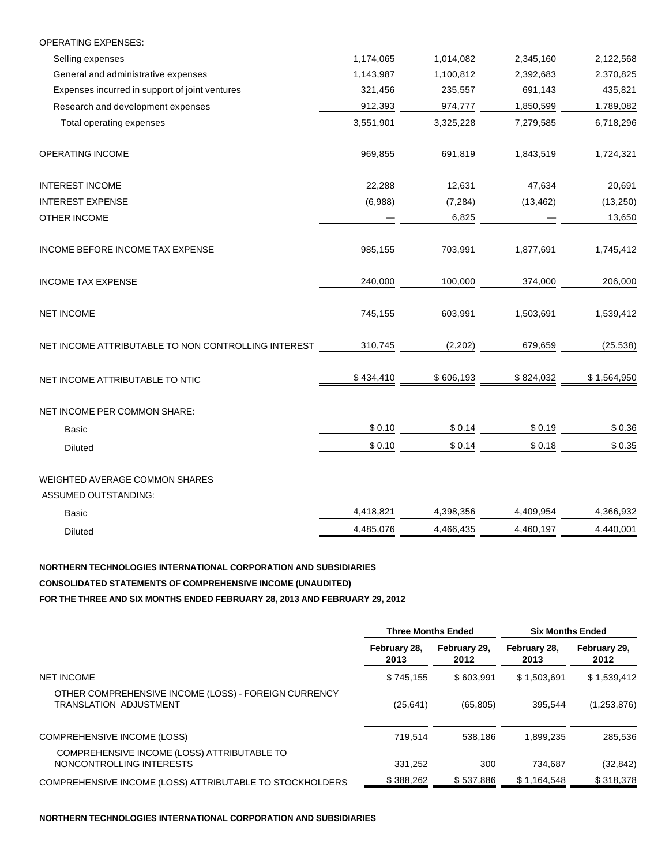| <b>OPERATING EXPENSES:</b>                          |           |           |           |             |
|-----------------------------------------------------|-----------|-----------|-----------|-------------|
| Selling expenses                                    | 1,174,065 | 1,014,082 | 2,345,160 | 2,122,568   |
| General and administrative expenses                 | 1,143,987 | 1,100,812 | 2,392,683 | 2,370,825   |
| Expenses incurred in support of joint ventures      | 321,456   | 235,557   | 691,143   | 435,821     |
| Research and development expenses                   | 912,393   | 974,777   | 1,850,599 | 1,789,082   |
| Total operating expenses                            | 3,551,901 | 3,325,228 | 7,279,585 | 6,718,296   |
| OPERATING INCOME                                    | 969,855   | 691,819   | 1,843,519 | 1,724,321   |
| <b>INTEREST INCOME</b>                              | 22,288    | 12,631    | 47,634    | 20,691      |
| <b>INTEREST EXPENSE</b>                             | (6,988)   | (7, 284)  | (13, 462) | (13, 250)   |
| <b>OTHER INCOME</b>                                 |           | 6,825     |           | 13,650      |
| INCOME BEFORE INCOME TAX EXPENSE                    | 985,155   | 703,991   | 1,877,691 | 1,745,412   |
| <b>INCOME TAX EXPENSE</b>                           | 240,000   | 100,000   | 374,000   | 206,000     |
| <b>NET INCOME</b>                                   | 745,155   | 603,991   | 1,503,691 | 1,539,412   |
| NET INCOME ATTRIBUTABLE TO NON CONTROLLING INTEREST | 310,745   | (2, 202)  | 679,659   | (25, 538)   |
| NET INCOME ATTRIBUTABLE TO NTIC                     | \$434,410 | \$606,193 | \$824,032 | \$1,564,950 |
| NET INCOME PER COMMON SHARE:                        |           |           |           |             |
| <b>Basic</b>                                        | \$0.10    | \$0.14    | \$0.19    | \$0.36      |
| <b>Diluted</b>                                      | \$0.10    | \$0.14    | \$0.18    | \$0.35      |
| WEIGHTED AVERAGE COMMON SHARES                      |           |           |           |             |
| ASSUMED OUTSTANDING:                                |           |           |           |             |
| Basic                                               | 4,418,821 | 4,398,356 | 4,409,954 | 4,366,932   |
| <b>Diluted</b>                                      | 4,485,076 | 4,466,435 | 4,460,197 | 4,440,001   |

# **NORTHERN TECHNOLOGIES INTERNATIONAL CORPORATION AND SUBSIDIARIES**

# **CONSOLIDATED STATEMENTS OF COMPREHENSIVE INCOME (UNAUDITED)**

**FOR THE THREE AND SIX MONTHS ENDED FEBRUARY 28, 2013 AND FEBRUARY 29, 2012**

|                                                                                | <b>Three Months Ended</b> |                      | <b>Six Months Ended</b> |                      |
|--------------------------------------------------------------------------------|---------------------------|----------------------|-------------------------|----------------------|
|                                                                                | February 28,<br>2013      | February 29,<br>2012 | February 28,<br>2013    | February 29,<br>2012 |
| <b>NET INCOME</b>                                                              | \$745.155                 | \$603.991            | \$1,503,691             | \$1,539,412          |
| OTHER COMPREHENSIVE INCOME (LOSS) - FOREIGN CURRENCY<br>TRANSLATION ADJUSTMENT | (25, 641)                 | (65, 805)            | 395.544                 | (1,253,876)          |
| <b>COMPREHENSIVE INCOME (LOSS)</b>                                             | 719.514                   | 538.186              | 1,899,235               | 285,536              |
| COMPREHENSIVE INCOME (LOSS) ATTRIBUTABLE TO<br>NONCONTROLLING INTERESTS        | 331.252                   | 300                  | 734.687                 | (32, 842)            |
| COMPREHENSIVE INCOME (LOSS) ATTRIBUTABLE TO STOCKHOLDERS                       | \$388,262                 | \$537.886            | \$1.164.548             | \$318,378            |

**NORTHERN TECHNOLOGIES INTERNATIONAL CORPORATION AND SUBSIDIARIES**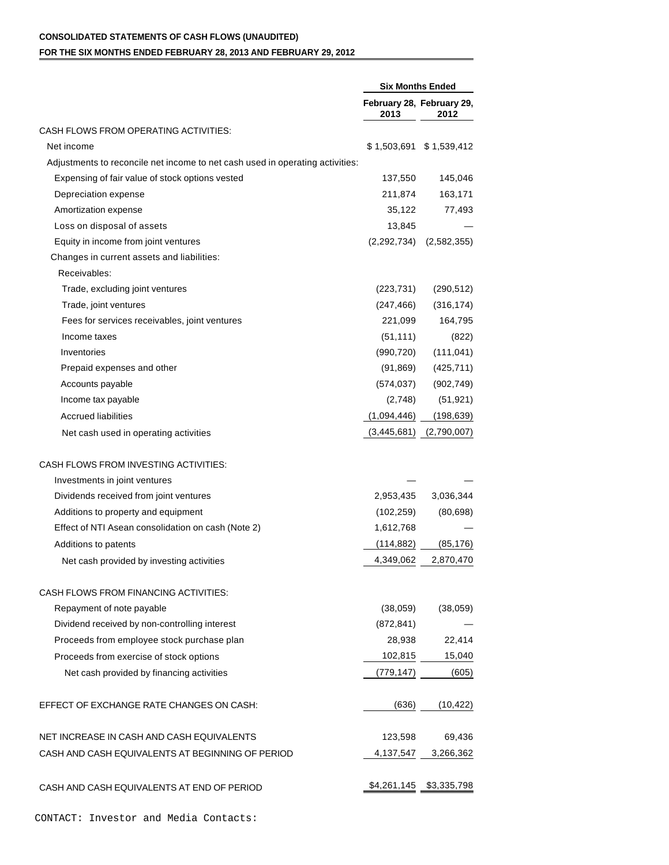# **CONSOLIDATED STATEMENTS OF CASH FLOWS (UNAUDITED) FOR THE SIX MONTHS ENDED FEBRUARY 28, 2013 AND FEBRUARY 29, 2012**

|                                                                               | <b>Six Months Ended</b> |                                   |
|-------------------------------------------------------------------------------|-------------------------|-----------------------------------|
|                                                                               | 2013                    | February 28, February 29,<br>2012 |
| CASH FLOWS FROM OPERATING ACTIVITIES:                                         |                         |                                   |
| Net income                                                                    | \$1,503,691             | \$1,539,412                       |
| Adjustments to reconcile net income to net cash used in operating activities: |                         |                                   |
| Expensing of fair value of stock options vested                               | 137,550                 | 145,046                           |
| Depreciation expense                                                          | 211,874                 | 163,171                           |
| Amortization expense                                                          | 35,122                  | 77,493                            |
| Loss on disposal of assets                                                    | 13,845                  |                                   |
| Equity in income from joint ventures                                          | (2, 292, 734)           | (2,582,355)                       |
| Changes in current assets and liabilities:                                    |                         |                                   |
| Receivables:                                                                  |                         |                                   |
| Trade, excluding joint ventures                                               | (223, 731)              | (290, 512)                        |
| Trade, joint ventures                                                         | (247, 466)              | (316, 174)                        |
| Fees for services receivables, joint ventures                                 | 221,099                 | 164,795                           |
| Income taxes                                                                  | (51, 111)               | (822)                             |
| Inventories                                                                   | (990, 720)              | (111, 041)                        |
| Prepaid expenses and other                                                    | (91, 869)               | (425, 711)                        |
| Accounts payable                                                              | (574, 037)              | (902, 749)                        |
| Income tax payable                                                            | (2,748)                 | (51, 921)                         |
| <b>Accrued liabilities</b>                                                    | (1,094,446)             | (198, 639)                        |
| Net cash used in operating activities                                         |                         | $(3,445,681)$ $(2,790,007)$       |
| CASH FLOWS FROM INVESTING ACTIVITIES:                                         |                         |                                   |
| Investments in joint ventures                                                 |                         |                                   |
| Dividends received from joint ventures                                        | 2,953,435               | 3,036,344                         |
| Additions to property and equipment                                           | (102, 259)              | (80, 698)                         |
| Effect of NTI Asean consolidation on cash (Note 2)                            | 1,612,768               |                                   |
| Additions to patents                                                          | (114, 882)              | (85, 176)                         |
| Net cash provided by investing activities                                     | 4,349,062               | 2,870,470                         |
| CASH FLOWS FROM FINANCING ACTIVITIES:                                         |                         |                                   |
| Repayment of note payable                                                     | (38,059)                | (38,059)                          |
| Dividend received by non-controlling interest                                 | (872, 841)              |                                   |
| Proceeds from employee stock purchase plan                                    | 28,938                  | 22,414                            |
| Proceeds from exercise of stock options                                       | 102,815                 | 15,040                            |
|                                                                               | (779, 147)              | (605)                             |
| Net cash provided by financing activities                                     |                         |                                   |
| EFFECT OF EXCHANGE RATE CHANGES ON CASH:                                      | (636)                   | (10, 422)                         |
| NET INCREASE IN CASH AND CASH EQUIVALENTS                                     | 123,598                 | 69,436                            |
| CASH AND CASH EQUIVALENTS AT BEGINNING OF PERIOD                              | 4,137,547               | 3,266,362                         |
| CASH AND CASH EQUIVALENTS AT END OF PERIOD                                    | \$4,261,145             | \$3,335,798                       |